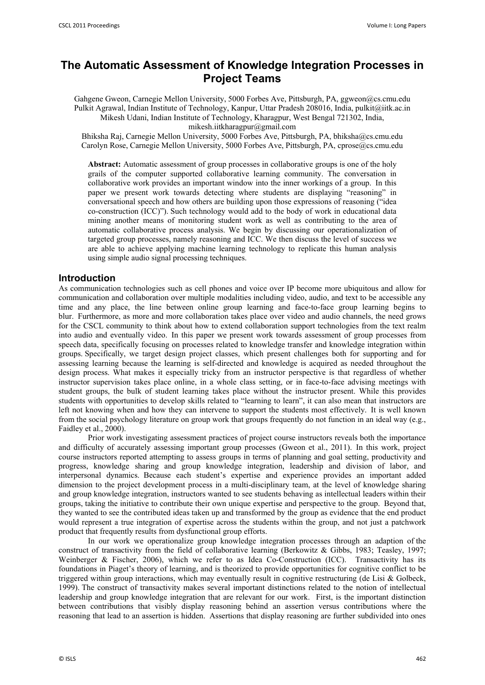# **The Automatic Assessment of Knowledge Integration Processes in Project Teams**

Gahgene Gweon, Carnegie Mellon University, 5000 Forbes Ave, Pittsburgh, PA, ggweon@cs.cmu.edu Pulkit Agrawal, Indian Institute of Technology, Kanpur, Uttar Pradesh 208016, India, pulkit@iitk.ac.in Mikesh Udani, Indian Institute of Technology, Kharagpur, West Bengal 721302, India,

mikesh.iitkharagpur@gmail.com

Bhiksha Raj, Carnegie Mellon University, 5000 Forbes Ave, Pittsburgh, PA, bhiksha@cs.cmu.edu Carolyn Rose, Carnegie Mellon University, 5000 Forbes Ave, Pittsburgh, PA, cprose@cs.cmu.edu

**Abstract:** Automatic assessment of group processes in collaborative groups is one of the holy grails of the computer supported collaborative learning community. The conversation in collaborative work provides an important window into the inner workings of a group. In this paper we present work towards detecting where students are displaying "reasoning" in conversational speech and how others are building upon those expressions of reasoning ("idea co-construction (ICC)"). Such technology would add to the body of work in educational data mining another means of monitoring student work as well as contributing to the area of automatic collaborative process analysis. We begin by discussing our operationalization of targeted group processes, namely reasoning and ICC. We then discuss the level of success we are able to achieve applying machine learning technology to replicate this human analysis using simple audio signal processing techniques.

## **Introduction**

As communication technologies such as cell phones and voice over IP become more ubiquitous and allow for communication and collaboration over multiple modalities including video, audio, and text to be accessible any time and any place, the line between online group learning and face-to-face group learning begins to blur. Furthermore, as more and more collaboration takes place over video and audio channels, the need grows for the CSCL community to think about how to extend collaboration support technologies from the text realm into audio and eventually video. In this paper we present work towards assessment of group processes from speech data, specifically focusing on processes related to knowledge transfer and knowledge integration within groups. Specifically, we target design project classes, which present challenges both for supporting and for assessing learning because the learning is self-directed and knowledge is acquired as needed throughout the design process. What makes it especially tricky from an instructor perspective is that regardless of whether instructor supervision takes place online, in a whole class setting, or in face-to-face advising meetings with student groups, the bulk of student learning takes place without the instructor present. While this provides students with opportunities to develop skills related to "learning to learn", it can also mean that instructors are left not knowing when and how they can intervene to support the students most effectively. It is well known from the social psychology literature on group work that groups frequently do not function in an ideal way (e.g., Faidley et al., 2000).

Prior work investigating assessment practices of project course instructors reveals both the importance and difficulty of accurately assessing important group processes (Gweon et al., 2011). In this work, project course instructors reported attempting to assess groups in terms of planning and goal setting, productivity and progress, knowledge sharing and group knowledge integration, leadership and division of labor, and interpersonal dynamics. Because each student's expertise and experience provides an important added dimension to the project development process in a multi-disciplinary team, at the level of knowledge sharing and group knowledge integration, instructors wanted to see students behaving as intellectual leaders within their groups, taking the initiative to contribute their own unique expertise and perspective to the group. Beyond that, they wanted to see the contributed ideas taken up and transformed by the group as evidence that the end product would represent a true integration of expertise across the students within the group, and not just a patchwork product that frequently results from dysfunctional group efforts.

In our work we operationalize group knowledge integration processes through an adaption of the construct of transactivity from the field of collaborative learning (Berkowitz & Gibbs, 1983; Teasley, 1997; Weinberger & Fischer, 2006), which we refer to as Idea Co-Construction (ICC). Transactivity has its foundations in Piaget's theory of learning, and is theorized to provide opportunities for cognitive conflict to be triggered within group interactions, which may eventually result in cognitive restructuring (de Lisi & Golbeck, 1999). The construct of transactivity makes several important distinctions related to the notion of intellectual leadership and group knowledge integration that are relevant for our work. First, is the important distinction between contributions that visibly display reasoning behind an assertion versus contributions where the reasoning that lead to an assertion is hidden. Assertions that display reasoning are further subdivided into ones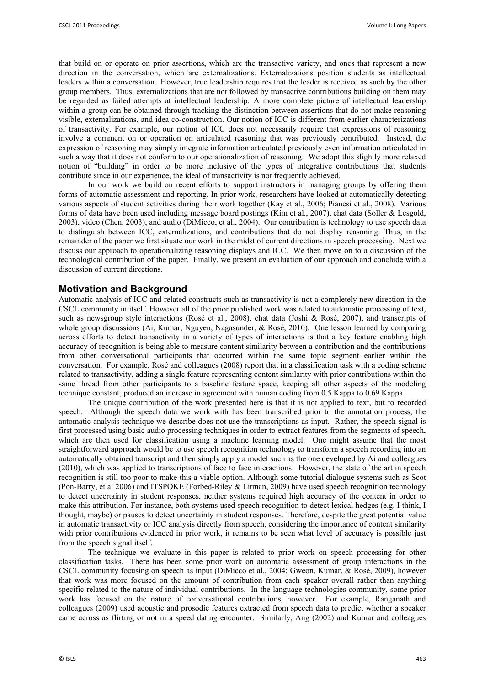that build on or operate on prior assertions, which are the transactive variety, and ones that represent a new direction in the conversation, which are externalizations. Externalizations position students as intellectual leaders within a conversation. However, true leadership requires that the leader is received as such by the other group members. Thus, externalizations that are not followed by transactive contributions building on them may be regarded as failed attempts at intellectual leadership. A more complete picture of intellectual leadership within a group can be obtained through tracking the distinction between assertions that do not make reasoning visible, externalizations, and idea co-construction. Our notion of ICC is different from earlier characterizations of transactivity. For example, our notion of ICC does not necessarily require that expressions of reasoning involve a comment on or operation on articulated reasoning that was previously contributed. Instead, the expression of reasoning may simply integrate information articulated previously even information articulated in such a way that it does not conform to our operationalization of reasoning. We adopt this slightly more relaxed notion of "building" in order to be more inclusive of the types of integrative contributions that students contribute since in our experience, the ideal of transactivity is not frequently achieved.

In our work we build on recent efforts to support instructors in managing groups by offering them forms of automatic assessment and reporting. In prior work, researchers have looked at automatically detecting various aspects of student activities during their work together (Kay et al., 2006; Pianesi et al., 2008). Various forms of data have been used including message board postings (Kim et al., 2007), chat data (Soller & Lesgold, 2003), video (Chen, 2003), and audio (DiMicco, et al., 2004). Our contribution is technology to use speech data to distinguish between ICC, externalizations, and contributions that do not display reasoning. Thus, in the remainder of the paper we first situate our work in the midst of current directions in speech processing. Next we discuss our approach to operationalizing reasoning displays and ICC. We then move on to a discussion of the technological contribution of the paper. Finally, we present an evaluation of our approach and conclude with a discussion of current directions.

#### **Motivation and Background**

Automatic analysis of ICC and related constructs such as transactivity is not a completely new direction in the CSCL community in itself. However all of the prior published work was related to automatic processing of text, such as newsgroup style interactions (Rosé et al., 2008), chat data (Joshi & Rosé, 2007), and transcripts of whole group discussions (Ai, Kumar, Nguyen, Nagasunder, & Rosé, 2010). One lesson learned by comparing across efforts to detect transactivity in a variety of types of interactions is that a key feature enabling high accuracy of recognition is being able to measure content similarity between a contribution and the contributions from other conversational participants that occurred within the same topic segment earlier within the conversation. For example, Rosé and colleagues (2008) report that in a classification task with a coding scheme related to transactivity, adding a single feature representing content similarity with prior contributions within the same thread from other participants to a baseline feature space, keeping all other aspects of the modeling technique constant, produced an increase in agreement with human coding from 0.5 Kappa to 0.69 Kappa.

The unique contribution of the work presented here is that it is not applied to text, but to recorded speech. Although the speech data we work with has been transcribed prior to the annotation process, the automatic analysis technique we describe does not use the transcriptions as input. Rather, the speech signal is first processed using basic audio processing techniques in order to extract features from the segments of speech, which are then used for classification using a machine learning model. One might assume that the most straightforward approach would be to use speech recognition technology to transform a speech recording into an automatically obtained transcript and then simply apply a model such as the one developed by Ai and colleagues (2010), which was applied to transcriptions of face to face interactions. However, the state of the art in speech recognition is still too poor to make this a viable option. Although some tutorial dialogue systems such as Scot (Pon-Barry, et al 2006) and ITSPOKE (Forbed-Riley & Litman, 2009) have used speech recognition technology to detect uncertainty in student responses, neither systems required high accuracy of the content in order to make this attribution. For instance, both systems used speech recognition to detect lexical hedges (e.g. I think, I thought, maybe) or pauses to detect uncertainty in student responses. Therefore, despite the great potential value in automatic transactivity or ICC analysis directly from speech, considering the importance of content similarity with prior contributions evidenced in prior work, it remains to be seen what level of accuracy is possible just from the speech signal itself.

The technique we evaluate in this paper is related to prior work on speech processing for other classification tasks. There has been some prior work on automatic assessment of group interactions in the CSCL community focusing on speech as input (DiMicco et al., 2004; Gweon, Kumar, & Rosé, 2009), however that work was more focused on the amount of contribution from each speaker overall rather than anything specific related to the nature of individual contributions. In the language technologies community, some prior work has focused on the nature of conversational contributions, however. For example, Ranganath and colleagues (2009) used acoustic and prosodic features extracted from speech data to predict whether a speaker came across as flirting or not in a speed dating encounter. Similarly, Ang (2002) and Kumar and colleagues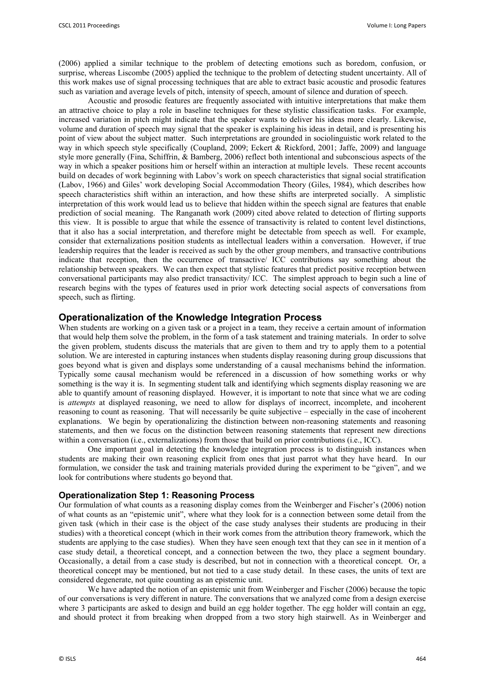(2006) applied a similar technique to the problem of detecting emotions such as boredom, confusion, or surprise, whereas Liscombe (2005) applied the technique to the problem of detecting student uncertainty. All of this work makes use of signal processing techniques that are able to extract basic acoustic and prosodic features such as variation and average levels of pitch, intensity of speech, amount of silence and duration of speech.

Acoustic and prosodic features are frequently associated with intuitive interpretations that make them an attractive choice to play a role in baseline techniques for these stylistic classification tasks. For example, increased variation in pitch might indicate that the speaker wants to deliver his ideas more clearly. Likewise, volume and duration of speech may signal that the speaker is explaining his ideas in detail, and is presenting his point of view about the subject matter. Such interpretations are grounded in sociolinguistic work related to the way in which speech style specifically (Coupland, 2009; Eckert & Rickford, 2001; Jaffe, 2009) and language style more generally (Fina, Schiffrin, & Bamberg, 2006) reflect both intentional and subconscious aspects of the way in which a speaker positions him or herself within an interaction at multiple levels. These recent accounts build on decades of work beginning with Labov's work on speech characteristics that signal social stratification (Labov, 1966) and Giles' work developing Social Accommodation Theory (Giles, 1984), which describes how speech characteristics shift within an interaction, and how these shifts are interpreted socially. A simplistic interpretation of this work would lead us to believe that hidden within the speech signal are features that enable prediction of social meaning. The Ranganath work (2009) cited above related to detection of flirting supports this view. It is possible to argue that while the essence of transactivity is related to content level distinctions, that it also has a social interpretation, and therefore might be detectable from speech as well. For example, consider that externalizations position students as intellectual leaders within a conversation. However, if true leadership requires that the leader is received as such by the other group members, and transactive contributions indicate that reception, then the occurrence of transactive/ ICC contributions say something about the relationship between speakers. We can then expect that stylistic features that predict positive reception between conversational participants may also predict transactivity/ ICC. The simplest approach to begin such a line of research begins with the types of features used in prior work detecting social aspects of conversations from speech, such as flirting.

## **Operationalization of the Knowledge Integration Process**

When students are working on a given task or a project in a team, they receive a certain amount of information that would help them solve the problem, in the form of a task statement and training materials. In order to solve the given problem, students discuss the materials that are given to them and try to apply them to a potential solution. We are interested in capturing instances when students display reasoning during group discussions that goes beyond what is given and displays some understanding of a causal mechanisms behind the information. Typically some causal mechanism would be referenced in a discussion of how something works or why something is the way it is. In segmenting student talk and identifying which segments display reasoning we are able to quantify amount of reasoning displayed. However, it is important to note that since what we are coding is *attempts* at displayed reasoning, we need to allow for displays of incorrect, incomplete, and incoherent reasoning to count as reasoning. That will necessarily be quite subjective – especially in the case of incoherent explanations. We begin by operationalizing the distinction between non-reasoning statements and reasoning statements, and then we focus on the distinction between reasoning statements that represent new directions within a conversation (i.e., externalizations) from those that build on prior contributions (i.e., ICC).

One important goal in detecting the knowledge integration process is to distinguish instances when students are making their own reasoning explicit from ones that just parrot what they have heard. In our formulation, we consider the task and training materials provided during the experiment to be "given", and we look for contributions where students go beyond that.

#### **Operationalization Step 1: Reasoning Process**

Our formulation of what counts as a reasoning display comes from the Weinberger and Fischer's (2006) notion of what counts as an "epistemic unit", where what they look for is a connection between some detail from the given task (which in their case is the object of the case study analyses their students are producing in their studies) with a theoretical concept (which in their work comes from the attribution theory framework, which the students are applying to the case studies). When they have seen enough text that they can see in it mention of a case study detail, a theoretical concept, and a connection between the two, they place a segment boundary. Occasionally, a detail from a case study is described, but not in connection with a theoretical concept. Or, a theoretical concept may be mentioned, but not tied to a case study detail. In these cases, the units of text are considered degenerate, not quite counting as an epistemic unit.

We have adapted the notion of an epistemic unit from Weinberger and Fischer (2006) because the topic of our conversations is very different in nature. The conversations that we analyzed come from a design exercise where 3 participants are asked to design and build an egg holder together. The egg holder will contain an egg, and should protect it from breaking when dropped from a two story high stairwell. As in Weinberger and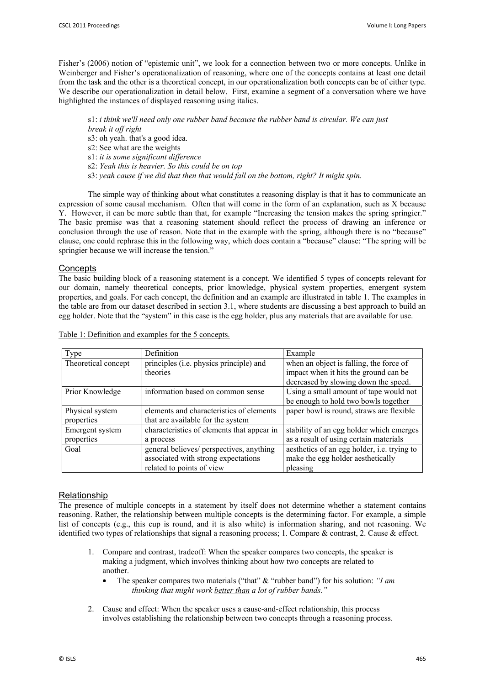Fisher's (2006) notion of "epistemic unit", we look for a connection between two or more concepts. Unlike in Weinberger and Fisher's operationalization of reasoning, where one of the concepts contains at least one detail from the task and the other is a theoretical concept, in our operationalization both concepts can be of either type. We describe our operationalization in detail below. First, examine a segment of a conversation where we have highlighted the instances of displayed reasoning using italics.

s1: *i think we'll need only one rubber band because the rubber band is circular. We can just break it off right* s3: oh yeah. that's a good idea. s2: See what are the weights s1: *it is some significant difference* s2: *Yeah this is heavier. So this could be on top* s3: *yeah cause if we did that then that would fall on the bottom, right? It might spin.* 

The simple way of thinking about what constitutes a reasoning display is that it has to communicate an expression of some causal mechanism. Often that will come in the form of an explanation, such as X because Y. However, it can be more subtle than that, for example "Increasing the tension makes the spring springier." The basic premise was that a reasoning statement should reflect the process of drawing an inference or conclusion through the use of reason. Note that in the example with the spring, although there is no "because" clause, one could rephrase this in the following way, which does contain a "because" clause: "The spring will be springier because we will increase the tension."

## **Concepts**

The basic building block of a reasoning statement is a concept. We identified 5 types of concepts relevant for our domain, namely theoretical concepts, prior knowledge, physical system properties, emergent system properties, and goals. For each concept, the definition and an example are illustrated in table 1. The examples in the table are from our dataset described in section 3.1, where students are discussing a best approach to build an egg holder. Note that the "system" in this case is the egg holder, plus any materials that are available for use.

| Type                | <b>Definition</b>                          | Example                                     |
|---------------------|--------------------------------------------|---------------------------------------------|
| Theoretical concept | principles (i.e. physics principle) and    | when an object is falling, the force of     |
|                     | theories                                   | impact when it hits the ground can be       |
|                     |                                            | decreased by slowing down the speed.        |
| Prior Knowledge     | information based on common sense          | Using a small amount of tape would not      |
|                     |                                            | be enough to hold two bowls together        |
| Physical system     | elements and characteristics of elements   | paper bowl is round, straws are flexible    |
| properties          | that are available for the system          |                                             |
| Emergent system     | characteristics of elements that appear in | stability of an egg holder which emerges    |
| properties          | a process                                  | as a result of using certain materials      |
| Goal                | general believes/ perspectives, anything   | aesthetics of an egg holder, i.e. trying to |
|                     | associated with strong expectations        | make the egg holder aesthetically           |
|                     | related to points of view                  | pleasing                                    |

Table 1: Definition and examples for the 5 concepts.

## Relationship

The presence of multiple concepts in a statement by itself does not determine whether a statement contains reasoning. Rather, the relationship between multiple concepts is the determining factor. For example, a simple list of concepts (e.g., this cup is round, and it is also white) is information sharing, and not reasoning. We identified two types of relationships that signal a reasoning process; 1. Compare  $\&$  contrast, 2. Cause  $\&$  effect.

- 1. Compare and contrast, tradeoff: When the speaker compares two concepts, the speaker is making a judgment, which involves thinking about how two concepts are related to another.
	- The speaker compares two materials ("that" & "rubber band") for his solution: *"I am thinking that might work better than a lot of rubber bands."*
- 2. Cause and effect: When the speaker uses a cause-and-effect relationship, this process involves establishing the relationship between two concepts through a reasoning process.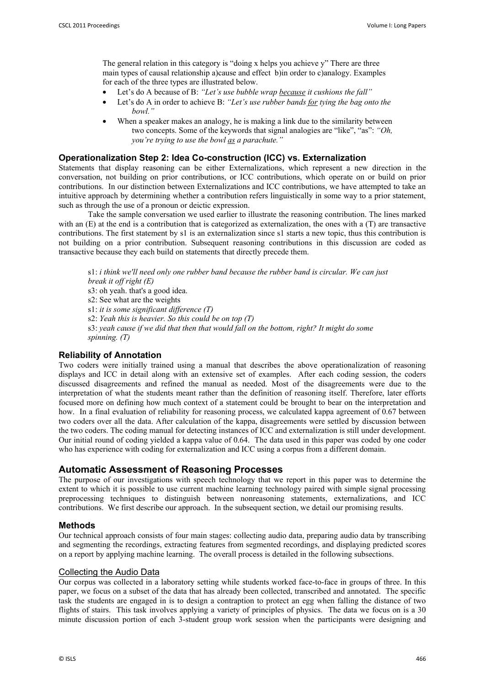The general relation in this category is "doing x helps you achieve y" There are three main types of causal relationship a)cause and effect b)in order to c)analogy. Examples for each of the three types are illustrated below.

- Let's do A because of B: *"Let's use bubble wrap because it cushions the fall"*
- Let's do A in order to achieve B: *"Let's use rubber bands for tying the bag onto the bowl."*
- When a speaker makes an analogy, he is making a link due to the similarity between two concepts. Some of the keywords that signal analogies are "like", "as": *"Oh, you're trying to use the bowl as a parachute."*

## **Operationalization Step 2: Idea Co-construction (ICC) vs. Externalization**

Statements that display reasoning can be either Externalizations, which represent a new direction in the conversation, not building on prior contributions, or ICC contributions, which operate on or build on prior contributions. In our distinction between Externalizations and ICC contributions, we have attempted to take an intuitive approach by determining whether a contribution refers linguistically in some way to a prior statement, such as through the use of a pronoun or deictic expression.

 Take the sample conversation we used earlier to illustrate the reasoning contribution. The lines marked with an (E) at the end is a contribution that is categorized as externalization, the ones with a (T) are transactive contributions. The first statement by s1 is an externalization since s1 starts a new topic, thus this contribution is not building on a prior contribution. Subsequent reasoning contributions in this discussion are coded as transactive because they each build on statements that directly precede them.

s1: *i think we'll need only one rubber band because the rubber band is circular. We can just break it off right (E)*

s3: oh yeah. that's a good idea.

s2: See what are the weights

s1: *it is some significant difference (T)*

s2: *Yeah this is heavier. So this could be on top (T)*

s3: *yeah cause if we did that then that would fall on the bottom, right? It might do some spinning. (T)*

## **Reliability of Annotation**

Two coders were initially trained using a manual that describes the above operationalization of reasoning displays and ICC in detail along with an extensive set of examples. After each coding session, the coders discussed disagreements and refined the manual as needed. Most of the disagreements were due to the interpretation of what the students meant rather than the definition of reasoning itself. Therefore, later efforts focused more on defining how much context of a statement could be brought to bear on the interpretation and how. In a final evaluation of reliability for reasoning process, we calculated kappa agreement of 0.67 between two coders over all the data. After calculation of the kappa, disagreements were settled by discussion between the two coders. The coding manual for detecting instances of ICC and externalization is still under development. Our initial round of coding yielded a kappa value of 0.64. The data used in this paper was coded by one coder who has experience with coding for externalization and ICC using a corpus from a different domain.

## **Automatic Assessment of Reasoning Processes**

The purpose of our investigations with speech technology that we report in this paper was to determine the extent to which it is possible to use current machine learning technology paired with simple signal processing preprocessing techniques to distinguish between nonreasoning statements, externalizations, and ICC contributions. We first describe our approach. In the subsequent section, we detail our promising results.

#### **Methods**

Our technical approach consists of four main stages: collecting audio data, preparing audio data by transcribing and segmenting the recordings, extracting features from segmented recordings, and displaying predicted scores on a report by applying machine learning. The overall process is detailed in the following subsections.

#### Collecting the Audio Data

Our corpus was collected in a laboratory setting while students worked face-to-face in groups of three. In this paper, we focus on a subset of the data that has already been collected, transcribed and annotated. The specific task the students are engaged in is to design a contraption to protect an egg when falling the distance of two flights of stairs. This task involves applying a variety of principles of physics. The data we focus on is a 30 minute discussion portion of each 3-student group work session when the participants were designing and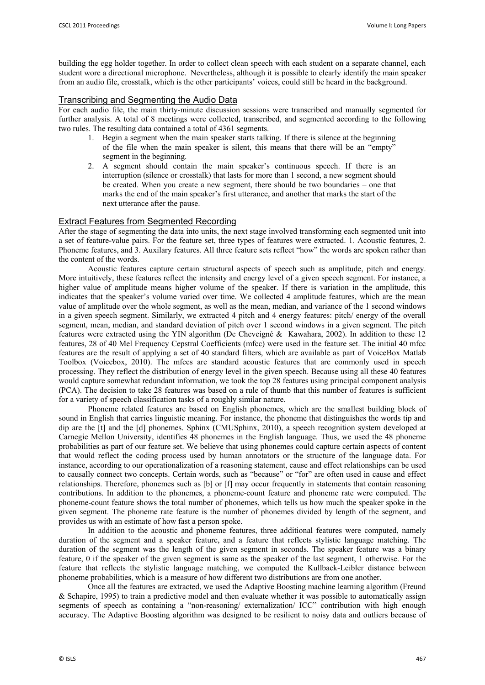building the egg holder together. In order to collect clean speech with each student on a separate channel, each student wore a directional microphone. Nevertheless, although it is possible to clearly identify the main speaker from an audio file, crosstalk, which is the other participants' voices, could still be heard in the background.

#### Transcribing and Segmenting the Audio Data

For each audio file, the main thirty-minute discussion sessions were transcribed and manually segmented for further analysis. A total of 8 meetings were collected, transcribed, and segmented according to the following two rules. The resulting data contained a total of 4361 segments.

- 1. Begin a segment when the main speaker starts talking. If there is silence at the beginning of the file when the main speaker is silent, this means that there will be an "empty" segment in the beginning.
- 2. A segment should contain the main speaker's continuous speech. If there is an interruption (silence or crosstalk) that lasts for more than 1 second, a new segment should be created. When you create a new segment, there should be two boundaries – one that marks the end of the main speaker's first utterance, and another that marks the start of the next utterance after the pause.

## Extract Features from Segmented Recording

After the stage of segmenting the data into units, the next stage involved transforming each segmented unit into a set of feature-value pairs. For the feature set, three types of features were extracted. 1. Acoustic features, 2. Phoneme features, and 3. Auxilary features. All three feature sets reflect "how" the words are spoken rather than the content of the words.

Acoustic features capture certain structural aspects of speech such as amplitude, pitch and energy. More intuitively, these features reflect the intensity and energy level of a given speech segment. For instance, a higher value of amplitude means higher volume of the speaker. If there is variation in the amplitude, this indicates that the speaker's volume varied over time. We collected 4 amplitude features, which are the mean value of amplitude over the whole segment, as well as the mean, median, and variance of the 1 second windows in a given speech segment. Similarly, we extracted 4 pitch and 4 energy features: pitch/ energy of the overall segment, mean, median, and standard deviation of pitch over 1 second windows in a given segment. The pitch features were extracted using the YIN algorithm (De Cheveigné & Kawahara, 2002). In addition to these 12 features, 28 of 40 Mel Frequency Cepstral Coefficients (mfcc) were used in the feature set. The initial 40 mfcc features are the result of applying a set of 40 standard filters, which are available as part of VoiceBox Matlab Toolbox (Voicebox, 2010). The mfccs are standard acoustic features that are commonly used in speech processing. They reflect the distribution of energy level in the given speech. Because using all these 40 features would capture somewhat redundant information, we took the top 28 features using principal component analysis (PCA). The decision to take 28 features was based on a rule of thumb that this number of features is sufficient for a variety of speech classification tasks of a roughly similar nature.

 Phoneme related features are based on English phonemes, which are the smallest building block of sound in English that carries linguistic meaning. For instance, the phoneme that distinguishes the words tip and dip are the [t] and the [d] phonemes. Sphinx (CMUSphinx, 2010), a speech recognition system developed at Carnegie Mellon University, identifies 48 phonemes in the English language. Thus, we used the 48 phoneme probabilities as part of our feature set. We believe that using phonemes could capture certain aspects of content that would reflect the coding process used by human annotators or the structure of the language data. For instance, according to our operationalization of a reasoning statement, cause and effect relationships can be used to causally connect two concepts. Certain words, such as "because" or "for" are often used in cause and effect relationships. Therefore, phonemes such as [b] or [f] may occur frequently in statements that contain reasoning contributions. In addition to the phonemes, a phoneme-count feature and phoneme rate were computed. The phoneme-count feature shows the total number of phonemes, which tells us how much the speaker spoke in the given segment. The phoneme rate feature is the number of phonemes divided by length of the segment, and provides us with an estimate of how fast a person spoke.

In addition to the acoustic and phoneme features, three additional features were computed, namely duration of the segment and a speaker feature, and a feature that reflects stylistic language matching. The duration of the segment was the length of the given segment in seconds. The speaker feature was a binary feature, 0 if the speaker of the given segment is same as the speaker of the last segment, 1 otherwise. For the feature that reflects the stylistic language matching, we computed the Kullback-Leibler distance between phoneme probabilities, which is a measure of how different two distributions are from one another.

Once all the features are extracted, we used the Adaptive Boosting machine learning algorithm (Freund & Schapire, 1995) to train a predictive model and then evaluate whether it was possible to automatically assign segments of speech as containing a "non-reasoning/ externalization/ ICC" contribution with high enough accuracy. The Adaptive Boosting algorithm was designed to be resilient to noisy data and outliers because of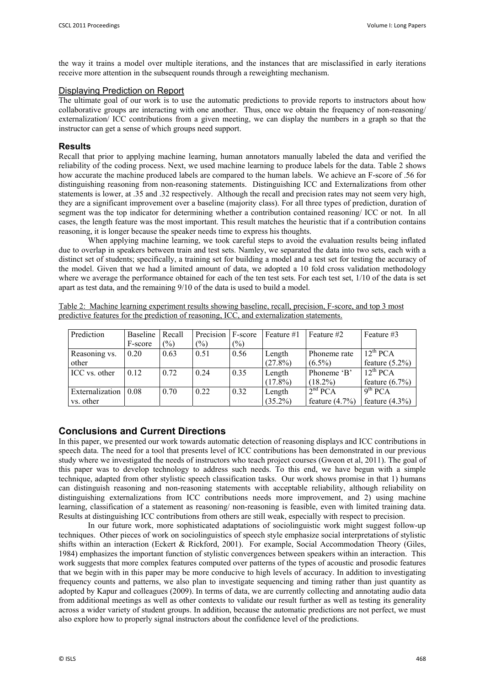the way it trains a model over multiple iterations, and the instances that are misclassified in early iterations receive more attention in the subsequent rounds through a reweighting mechanism.

#### Displaying Prediction on Report

The ultimate goal of our work is to use the automatic predictions to provide reports to instructors about how collaborative groups are interacting with one another. Thus, once we obtain the frequency of non-reasoning/ externalization/ ICC contributions from a given meeting, we can display the numbers in a graph so that the instructor can get a sense of which groups need support.

#### **Results**

Recall that prior to applying machine learning, human annotators manually labeled the data and verified the reliability of the coding process. Next, we used machine learning to produce labels for the data. Table 2 shows how accurate the machine produced labels are compared to the human labels. We achieve an F-score of .56 for distinguishing reasoning from non-reasoning statements. Distinguishing ICC and Externalizations from other statements is lower, at .35 and .32 respectively. Although the recall and precision rates may not seem very high, they are a significant improvement over a baseline (majority class). For all three types of prediction, duration of segment was the top indicator for determining whether a contribution contained reasoning/ ICC or not. In all cases, the length feature was the most important. This result matches the heuristic that if a contribution contains reasoning, it is longer because the speaker needs time to express his thoughts.

When applying machine learning, we took careful steps to avoid the evaluation results being inflated due to overlap in speakers between train and test sets. Namley, we separated the data into two sets, each with a distinct set of students; specifically, a training set for building a model and a test set for testing the accuracy of the model. Given that we had a limited amount of data, we adopted a 10 fold cross validation methodology where we average the performance obtained for each of the ten test sets. For each test set,  $1/10$  of the data is set apart as test data, and the remaining 9/10 of the data is used to build a model.

|                                                                                           |  |  | Table 2: Machine learning experiment results showing baseline, recall, precision, F-score, and top 3 most |  |  |  |  |  |  |  |  |
|-------------------------------------------------------------------------------------------|--|--|-----------------------------------------------------------------------------------------------------------|--|--|--|--|--|--|--|--|
| predictive features for the prediction of reasoning. ICC, and externalization statements. |  |  |                                                                                                           |  |  |  |  |  |  |  |  |

| Prediction      | Baseline | Recall | Precision      | F-score | Feature #1 | Feature #2          | Feature #3          |
|-----------------|----------|--------|----------------|---------|------------|---------------------|---------------------|
|                 | F-score  | $(\%)$ | $\binom{0}{0}$ | (%)     |            |                     |                     |
| Reasoning vs.   | 0.20     | 0.63   | 0.51           | 0.56    | Length     | Phoneme rate        | $12^{th}$ PCA       |
| other           |          |        |                |         | $(27.8\%)$ | $(6.5\%)$           | feature $(5.2\%)$   |
| ICC vs. other   | 0.12     | 0.72   | 0.24           | 0.35    | Length     | Phoneme 'B'         | $12^{th}$ PCA       |
|                 |          |        |                |         | $(17.8\%)$ | $(18.2\%)$          | feature $(6.7\%)$   |
| Externalization | 0.08     | 0.70   | 0.22           | 0.32    | Length     | 2 <sup>nd</sup> PCA | 9 <sup>th</sup> PCA |
| vs. other       |          |        |                |         | $(35.2\%)$ | feature $(4.7\%)$   | feature $(4.3\%)$   |

## **Conclusions and Current Directions**

In this paper, we presented our work towards automatic detection of reasoning displays and ICC contributions in speech data. The need for a tool that presents level of ICC contributions has been demonstrated in our previous study where we investigated the needs of instructors who teach project courses (Gweon et al, 2011). The goal of this paper was to develop technology to address such needs. To this end, we have begun with a simple technique, adapted from other stylistic speech classification tasks. Our work shows promise in that 1) humans can distinguish reasoning and non-reasoning statements with acceptable reliability, although reliability on distinguishing externalizations from ICC contributions needs more improvement, and 2) using machine learning, classification of a statement as reasoning/ non-reasoning is feasible, even with limited training data. Results at distinguishing ICC contributions from others are still weak, especially with respect to precision.

In our future work, more sophisticated adaptations of sociolinguistic work might suggest follow-up techniques. Other pieces of work on sociolinguistics of speech style emphasize social interpretations of stylistic shifts within an interaction (Eckert & Rickford, 2001). For example, Social Accommodation Theory (Giles, 1984) emphasizes the important function of stylistic convergences between speakers within an interaction. This work suggests that more complex features computed over patterns of the types of acoustic and prosodic features that we begin with in this paper may be more conducive to high levels of accuracy. In addition to investigating frequency counts and patterns, we also plan to investigate sequencing and timing rather than just quantity as adopted by Kapur and colleagues (2009). In terms of data, we are currently collecting and annotating audio data from additional meetings as well as other contexts to validate our result further as well as testing its generality across a wider variety of student groups. In addition, because the automatic predictions are not perfect, we must also explore how to properly signal instructors about the confidence level of the predictions.